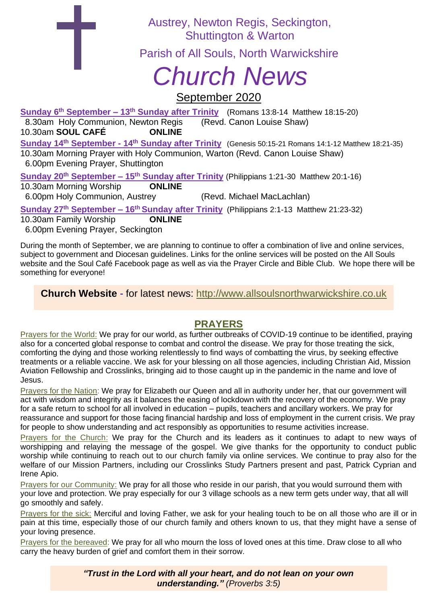Austrey, Newton Regis, Seckington, Shuttington & Warton

Parish of All Souls, North Warwickshire

# *Church News*

## September 2020

**Sunday 6 th September – 13th Sunday after Trinity** (Romans 13:8-14 Matthew 18:15-20) 8.30am Holy Communion, Newton Regis (Revd. Canon Louise Shaw) 10.30am **SOUL CAFÉ ONLINE Sunday 14th September - 14th Sunday after Trinity** (Genesis 50:15-21 Romans 14:1-12 Matthew 18:21-35) 10.30am Morning Prayer with Holy Communion, Warton (Revd. Canon Louise Shaw) 6.00pm Evening Prayer, Shuttington

**Sunday 20th September – 15 th Sunday after Trinity** (Philippians 1:21-30 Matthew 20:1-16) 10.30am Morning Worship **ONLINE** 6.00pm Holy Communion, Austrey (Revd. Michael MacLachlan) **Sunday 27<sup>th</sup> September – 16<sup>th</sup> Sunday after Trinity** (Philippians 2:1-13 Matthew 21:23-32) 10.30am Family Worship **ONLINE**

6.00pm Evening Prayer, Seckington

During the month of September, we are planning to continue to offer a combination of live and online services, subject to government and Diocesan guidelines. Links for the online services will be posted on the All Souls website and the Soul Café Facebook page as well as via the Prayer Circle and Bible Club. We hope there will be something for everyone!

**Church Website** - for latest news: [http://www.allsoulsnorthwarwickshire.co.uk](http://www.allsoulsnorthwarwickshire.co.uk/)

### **PRAYERS**

Prayers for the World: We pray for our world, as further outbreaks of COVID-19 continue to be identified, praying also for a concerted global response to combat and control the disease. We pray for those treating the sick, comforting the dying and those working relentlessly to find ways of combatting the virus, by seeking effective treatments or a reliable vaccine. We ask for your blessing on all those agencies, including Christian Aid, Mission Aviation Fellowship and Crosslinks, bringing aid to those caught up in the pandemic in the name and love of Jesus.

Prayers for the Nation: We pray for Elizabeth our Queen and all in authority under her, that our government will act with wisdom and integrity as it balances the easing of lockdown with the recovery of the economy. We pray for a safe return to school for all involved in education – pupils, teachers and ancillary workers. We pray for reassurance and support for those facing financial hardship and loss of employment in the current crisis. We pray for people to show understanding and act responsibly as opportunities to resume activities increase.

Prayers for the Church: We pray for the Church and its leaders as it continues to adapt to new ways of worshipping and relaying the message of the gospel. We give thanks for the opportunity to conduct public worship while continuing to reach out to our church family via online services. We continue to pray also for the welfare of our Mission Partners, including our Crosslinks Study Partners present and past, Patrick Cyprian and Irene Apio.

Prayers for our Community: We pray for all those who reside in our parish, that you would surround them with your love and protection. We pray especially for our 3 village schools as a new term gets under way, that all will go smoothly and safely.

Prayers for the sick: Merciful and loving Father, we ask for your healing touch to be on all those who are ill or in pain at this time, especially those of our church family and others known to us, that they might have a sense of your loving presence.

Prayers for the bereaved: We pray for all who mourn the loss of loved ones at this time. Draw close to all who carry the heavy burden of grief and comfort them in their sorrow.

> *"Trust in the Lord with all your heart, and do not lean on your own understanding." (Proverbs 3:5)*